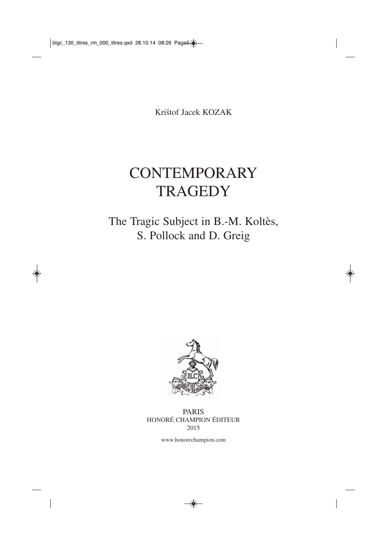Krištof Jacek KOZAK

## **CONTEMPORARY TRAGEDY**

## The Tragic Subject in B.-M. Koltès, S. Pollock and D. Greig



## PARIS HONORÉ CHAMPION ÉDITEUR 2015

www.honorechampion.com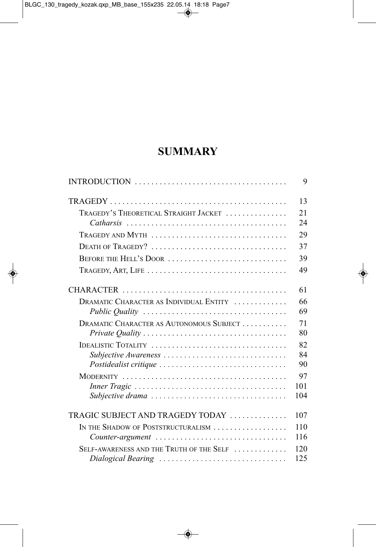## **SUMMARY**

|                                                                                      | 9   |
|--------------------------------------------------------------------------------------|-----|
|                                                                                      | 13  |
| TRAGEDY'S THEORETICAL STRAIGHT JACKET                                                | 21  |
|                                                                                      | 24  |
| TRAGEDY AND MYTH                                                                     | 29  |
| DEATH OF TRAGEDY?                                                                    | 37  |
| BEFORE THE HELL'S DOOR                                                               | 39  |
| TRAGEDY, ART, LIFE                                                                   | 49  |
|                                                                                      | 61  |
| DRAMATIC CHARACTER AS INDIVIDUAL ENTITY                                              | 66  |
|                                                                                      | 69  |
| DRAMATIC CHARACTER AS AUTONOMOUS SUBJECT                                             | 71  |
|                                                                                      | 80  |
| IDEALISTIC TOTALITY                                                                  | 82  |
| Subjective Awareness                                                                 | 84  |
|                                                                                      | 90  |
|                                                                                      | 97  |
|                                                                                      | 101 |
| Subjective drama                                                                     | 104 |
| TRAGIC SUBJECT AND TRAGEDY TODAY                                                     | 107 |
| IN THE SHADOW OF POSTSTRUCTURALISM                                                   | 110 |
| $Counter-argument \dots \dots \dots \dots \dots \dots \dots \dots \dots \dots \dots$ | 116 |
| SELF-AWARENESS AND THE TRUTH OF THE SELF                                             | 120 |
| Dialogical Bearing                                                                   | 125 |
|                                                                                      |     |